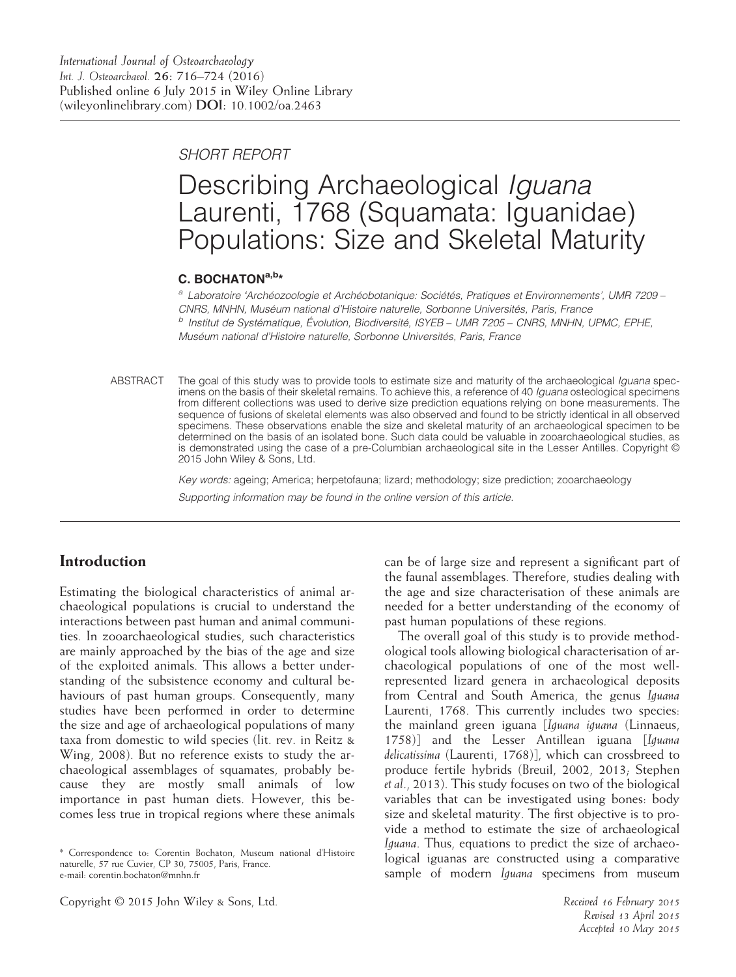SHORT REPORT

# Describing Archaeological Iguana Laurenti, 1768 (Squamata: Iguanidae) Populations: Size and Skeletal Maturity

#### C. BOCHATON<sup>a,b\*</sup>

<sup>a</sup> Laboratoire 'Archéozoologie et Archéobotanique: Sociétés, Pratiques et Environnements', UMR 7209 – CNRS, MNHN, Muséum national d'Histoire naturelle, Sorbonne Universités, Paris, France  $<sup>b</sup>$  Institut de Systématique, Évolution, Biodiversité, ISYEB – UMR 7205 – CNRS, MNHN, UPMC, EPHE,</sup> Muséum national d'Histoire naturelle, Sorbonne Universités, Paris, France

ABSTRACT The goal of this study was to provide tools to estimate size and maturity of the archaeological Iguana specimens on the basis of their skeletal remains. To achieve this, a reference of 40 Iguana osteological specimens from different collections was used to derive size prediction equations relying on bone measurements. The sequence of fusions of skeletal elements was also observed and found to be strictly identical in all observed specimens. These observations enable the size and skeletal maturity of an archaeological specimen to be determined on the basis of an isolated bone. Such data could be valuable in zooarchaeological studies, as is demonstrated using the case of a pre-Columbian archaeological site in the Lesser Antilles. Copyright © 2015 John Wiley & Sons, Ltd.

> Key words: ageing; America; herpetofauna; lizard; methodology; size prediction; zooarchaeology Supporting information may be found in the online version of this article.

# Introduction

Estimating the biological characteristics of animal archaeological populations is crucial to understand the interactions between past human and animal communities. In zooarchaeological studies, such characteristics are mainly approached by the bias of the age and size of the exploited animals. This allows a better understanding of the subsistence economy and cultural behaviours of past human groups. Consequently, many studies have been performed in order to determine the size and age of archaeological populations of many taxa from domestic to wild species (lit. rev. in Reitz & Wing, 2008). But no reference exists to study the archaeological assemblages of squamates, probably because they are mostly small animals of low importance in past human diets. However, this becomes less true in tropical regions where these animals

\* Correspondence to: Corentin Bochaton, Museum national d'Histoire naturelle, 57 rue Cuvier, CP 30, 75005, Paris, France. e-mail: corentin.bochaton@mnhn.fr

can be of large size and represent a significant part of the faunal assemblages. Therefore, studies dealing with the age and size characterisation of these animals are needed for a better understanding of the economy of past human populations of these regions.

The overall goal of this study is to provide methodological tools allowing biological characterisation of archaeological populations of one of the most wellrepresented lizard genera in archaeological deposits from Central and South America, the genus Iguana Laurenti, 1768. This currently includes two species: the mainland green iguana [Iguana iguana (Linnaeus, 1758)] and the Lesser Antillean iguana [Iguana delicatissima (Laurenti, 1768)], which can crossbreed to produce fertile hybrids (Breuil, 2002, 2013; Stephen et al., 2013). This study focuses on two of the biological variables that can be investigated using bones: body size and skeletal maturity. The first objective is to provide a method to estimate the size of archaeological Iguana. Thus, equations to predict the size of archaeological iguanas are constructed using a comparative sample of modern Iguana specimens from museum

Copyright © 2015 John Wiley & Sons, Ltd. And Copyright Copyright C 2015 John Wiley & Sons, Ltd. Received 16 February 2015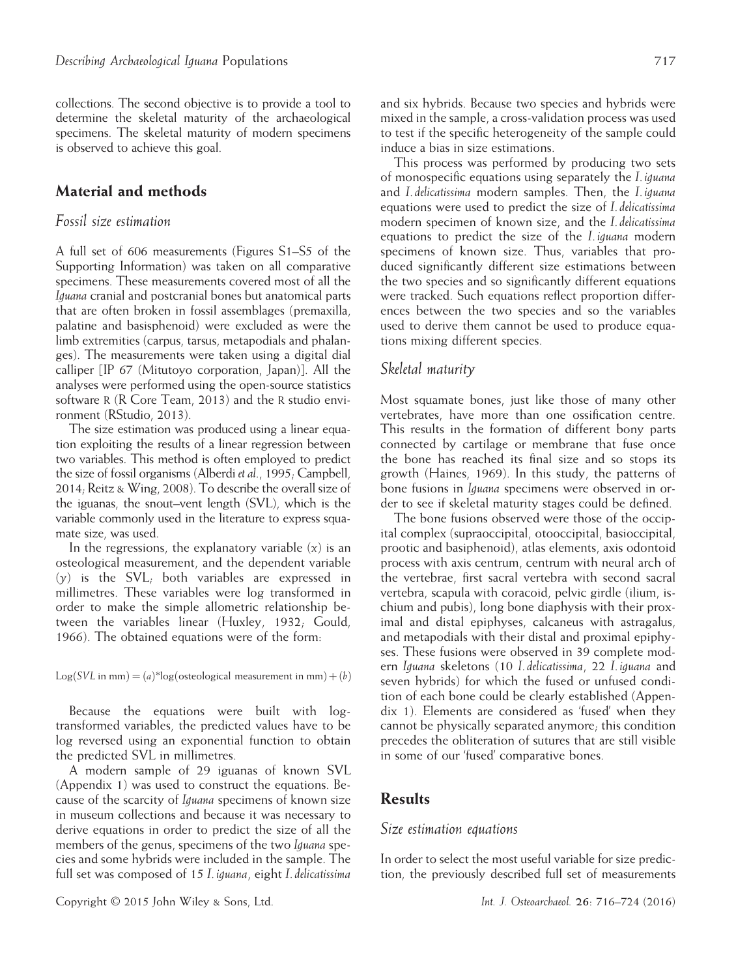collections. The second objective is to provide a tool to determine the skeletal maturity of the archaeological specimens. The skeletal maturity of modern specimens is observed to achieve this goal.

#### Material and methods

#### Fossil size estimation

A full set of 606 measurements (Figures S1–S5 of the Supporting Information) was taken on all comparative specimens. These measurements covered most of all the Iguana cranial and postcranial bones but anatomical parts that are often broken in fossil assemblages (premaxilla, palatine and basisphenoid) were excluded as were the limb extremities (carpus, tarsus, metapodials and phalanges). The measurements were taken using a digital dial calliper [IP 67 (Mitutoyo corporation, Japan)]. All the analyses were performed using the open-source statistics software R (R Core Team, 2013) and the R studio environment (RStudio, 2013).

The size estimation was produced using a linear equation exploiting the results of a linear regression between two variables. This method is often employed to predict the size of fossil organisms (Alberdi et al., 1995; Campbell, 2014; Reitz & Wing, 2008). To describe the overall size of the iguanas, the snout–vent length (SVL), which is the variable commonly used in the literature to express squamate size, was used.

In the regressions, the explanatory variable  $(x)$  is an osteological measurement, and the dependent variable  $(y)$  is the SVL; both variables are expressed in millimetres. These variables were log transformed in order to make the simple allometric relationship between the variables linear (Huxley, 1932; Gould, 1966). The obtained equations were of the form:

 $Log(SVL$  in mm $) = (a)^*log($  osteological measurement in mm $) + (b)$ 

Because the equations were built with logtransformed variables, the predicted values have to be log reversed using an exponential function to obtain the predicted SVL in millimetres.

A modern sample of 29 iguanas of known SVL (Appendix 1) was used to construct the equations. Because of the scarcity of Iguana specimens of known size in museum collections and because it was necessary to derive equations in order to predict the size of all the members of the genus, specimens of the two Iguana species and some hybrids were included in the sample. The full set was composed of 15 I. iguana, eight I. delicatissima

and six hybrids. Because two species and hybrids were mixed in the sample, a cross-validation process was used to test if the specific heterogeneity of the sample could induce a bias in size estimations.

This process was performed by producing two sets of monospecific equations using separately the I. iguana and I. delicatissima modern samples. Then, the I. iguana equations were used to predict the size of I. delicatissima modern specimen of known size, and the I. delicatissima equations to predict the size of the I. iguana modern specimens of known size. Thus, variables that produced significantly different size estimations between the two species and so significantly different equations were tracked. Such equations reflect proportion differences between the two species and so the variables used to derive them cannot be used to produce equations mixing different species.

#### Skeletal maturity

Most squamate bones, just like those of many other vertebrates, have more than one ossification centre. This results in the formation of different bony parts connected by cartilage or membrane that fuse once the bone has reached its final size and so stops its growth (Haines, 1969). In this study, the patterns of bone fusions in Iguana specimens were observed in order to see if skeletal maturity stages could be defined.

The bone fusions observed were those of the occipital complex (supraoccipital, otooccipital, basioccipital, prootic and basiphenoid), atlas elements, axis odontoid process with axis centrum, centrum with neural arch of the vertebrae, first sacral vertebra with second sacral vertebra, scapula with coracoid, pelvic girdle (ilium, ischium and pubis), long bone diaphysis with their proximal and distal epiphyses, calcaneus with astragalus, and metapodials with their distal and proximal epiphyses. These fusions were observed in 39 complete modern Iguana skeletons (10 I. delicatissima, 22 I. iguana and seven hybrids) for which the fused or unfused condition of each bone could be clearly established (Appendix 1). Elements are considered as 'fused' when they cannot be physically separated anymore; this condition precedes the obliteration of sutures that are still visible in some of our 'fused' comparative bones.

#### **Results**

#### Size estimation equations

In order to select the most useful variable for size prediction, the previously described full set of measurements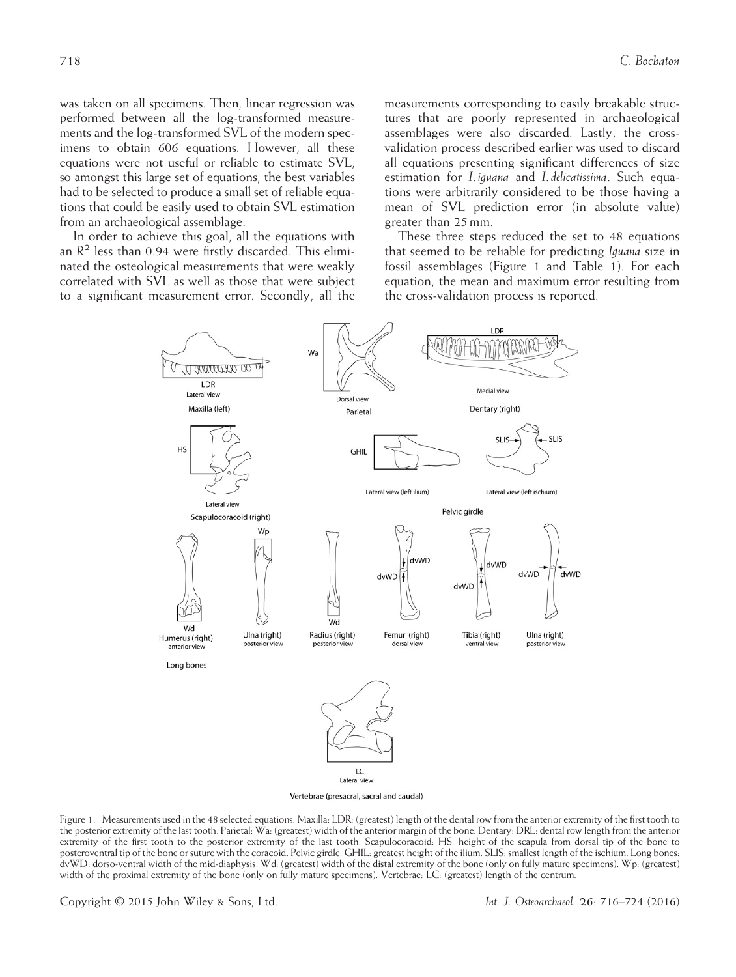was taken on all specimens. Then, linear regression was performed between all the log-transformed measurements and the log-transformed SVL of the modern specimens to obtain 606 equations. However, all these equations were not useful or reliable to estimate SVL, so amongst this large set of equations, the best variables had to be selected to produce a small set of reliable equations that could be easily used to obtain SVL estimation from an archaeological assemblage.

In order to achieve this goal, all the equations with an  $R^2$  less than 0.94 were firstly discarded. This eliminated the osteological measurements that were weakly correlated with SVL as well as those that were subject to a significant measurement error. Secondly, all the measurements corresponding to easily breakable structures that are poorly represented in archaeological assemblages were also discarded. Lastly, the crossvalidation process described earlier was used to discard all equations presenting significant differences of size estimation for I. iguana and I. delicatissima. Such equations were arbitrarily considered to be those having a mean of SVL prediction error (in absolute value) greater than 25 mm.

These three steps reduced the set to 48 equations that seemed to be reliable for predicting Iguana size in fossil assemblages (Figure 1 and Table 1). For each equation, the mean and maximum error resulting from the cross-validation process is reported.



Vertebrae (presacral, sacral and caudal)

Figure 1. Measurements used in the 48 selected equations. Maxilla: LDR: (greatest) length of the dental row from the anterior extremity of the first tooth to the posterior extremity of the last tooth. Parietal: Wa: (greatest) width of the anterior margin of the bone. Dentary: DRL: dental row length from the anterior extremity of the first tooth to the posterior extremity of the last tooth. Scapulocoracoid: HS: height of the scapula from dorsal tip of the bone to posteroventral tip of the bone or suture with the coracoid. Pelvic girdle: GHIL: greatest height of the ilium. SLIS: smallest length of the ischium. Long bones: dvWD: dorso-ventral width of the mid-diaphysis. Wd: (greatest) width of the distal extremity of the bone (only on fully mature specimens). Wp: (greatest) width of the proximal extremity of the bone (only on fully mature specimens). Vertebrae: LC: (greatest) length of the centrum.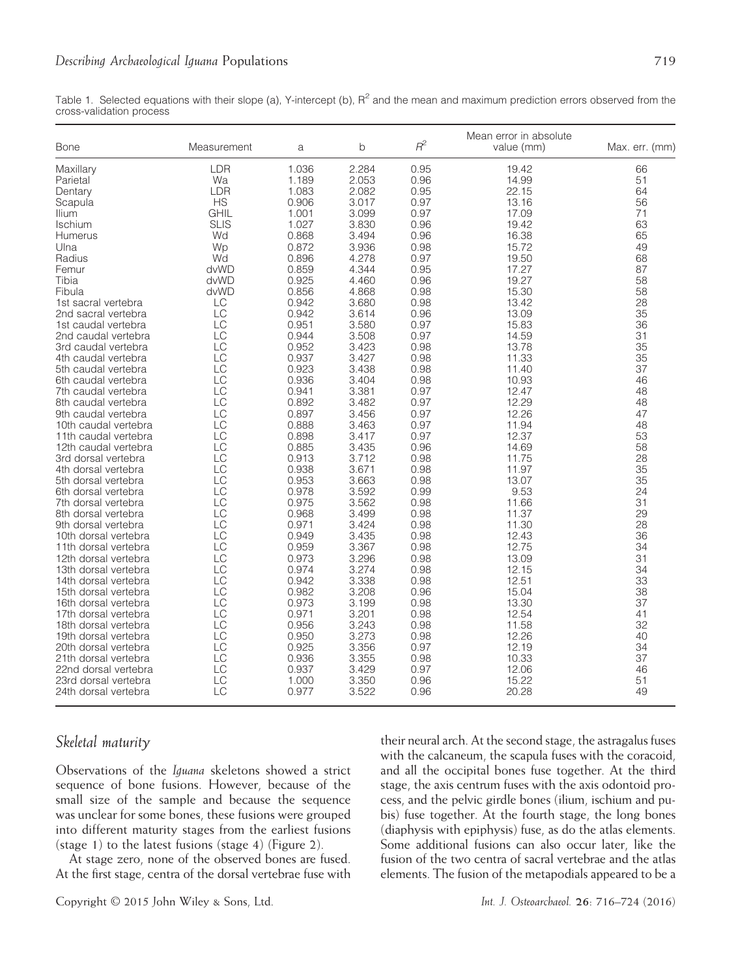Table 1. Selected equations with their slope (a), Y-intercept (b),  $R^2$  and the mean and maximum prediction errors observed from the cross-validation process

| <b>Bone</b>          | Measurement | a     | b     | $R^2$ | Mean error in absolute<br>value (mm) | Max. err. (mm) |
|----------------------|-------------|-------|-------|-------|--------------------------------------|----------------|
| Maxillary            | <b>LDR</b>  | 1.036 | 2.284 | 0.95  | 19.42                                | 66             |
| Parietal             | Wa          | 1.189 | 2.053 | 0.96  | 14.99                                | 51             |
| Dentary              | <b>LDR</b>  | 1.083 | 2.082 | 0.95  | 22.15                                | 64             |
| Scapula              | <b>HS</b>   | 0.906 | 3.017 | 0.97  | 13.16                                | 56             |
| <b>Ilium</b>         | <b>GHIL</b> | 1.001 | 3.099 | 0.97  | 17.09                                | 71             |
| <b>Ischium</b>       | <b>SLIS</b> | 1.027 | 3.830 | 0.96  | 19.42                                | 63             |
| Humerus              | Wd          | 0.868 | 3.494 | 0.96  | 16.38                                | 65             |
| Ulna                 | Wp          | 0.872 | 3.936 | 0.98  | 15.72                                | 49             |
| Radius               | Wd          | 0.896 | 4.278 | 0.97  | 19.50                                | 68             |
| Femur                | dvWD        | 0.859 | 4.344 | 0.95  | 17.27                                | 87             |
| Tibia                | dvWD        | 0.925 | 4.460 | 0.96  | 19.27                                | 58             |
| Fibula               | dvWD        | 0.856 | 4.868 | 0.98  | 15.30                                | 58             |
| 1st sacral vertebra  | LC          | 0.942 | 3.680 | 0.98  | 13.42                                | 28             |
| 2nd sacral vertebra  | LC          | 0.942 | 3.614 | 0.96  | 13.09                                | 35             |
| 1st caudal vertebra  | LC          | 0.951 | 3.580 | 0.97  | 15.83                                | 36             |
| 2nd caudal vertebra  | LC          | 0.944 | 3.508 | 0.97  | 14.59                                | 31             |
| 3rd caudal vertebra  | LC          | 0.952 | 3.423 | 0.98  | 13.78                                | 35             |
| 4th caudal vertebra  | LC          | 0.937 | 3.427 | 0.98  | 11.33                                | 35             |
| 5th caudal vertebra  | LC          | 0.923 | 3.438 | 0.98  | 11.40                                | 37             |
| 6th caudal vertebra  | LC          | 0.936 | 3.404 | 0.98  | 10.93                                | 46             |
| 7th caudal vertebra  | LC          | 0.941 | 3.381 | 0.97  | 12.47                                | 48             |
| 8th caudal vertebra  | LC          | 0.892 | 3.482 | 0.97  | 12.29                                | 48             |
| 9th caudal vertebra  | LC          | 0.897 | 3.456 | 0.97  | 12.26                                | 47             |
| 10th caudal vertebra | LC          | 0.888 | 3.463 | 0.97  | 11.94                                | 48             |
| 11th caudal vertebra | LC          | 0.898 | 3.417 | 0.97  | 12.37                                | 53             |
| 12th caudal vertebra | LC          | 0.885 | 3.435 | 0.96  | 14.69                                | 58             |
| 3rd dorsal vertebra  | LC          | 0.913 | 3.712 | 0.98  | 11.75                                | 28             |
| 4th dorsal vertebra  | LC          | 0.938 | 3.671 | 0.98  | 11.97                                | 35             |
| 5th dorsal vertebra  | LC          | 0.953 | 3.663 | 0.98  | 13.07                                | 35             |
| 6th dorsal vertebra  | LC          | 0.978 | 3.592 | 0.99  | 9.53                                 | 24             |
| 7th dorsal vertebra  | LC          | 0.975 | 3.562 | 0.98  | 11.66                                | 31             |
| 8th dorsal vertebra  | LC          | 0.968 | 3.499 | 0.98  | 11.37                                | 29             |
| 9th dorsal vertebra  | LC          | 0.971 | 3.424 | 0.98  | 11.30                                | 28             |
| 10th dorsal vertebra | LC          | 0.949 | 3.435 | 0.98  | 12.43                                | 36             |
| 11th dorsal vertebra | LC          | 0.959 | 3.367 | 0.98  | 12.75                                | 34             |
| 12th dorsal vertebra | LC          | 0.973 | 3.296 | 0.98  | 13.09                                | 31             |
| 13th dorsal vertebra | LC          | 0.974 | 3.274 | 0.98  | 12.15                                | 34             |
| 14th dorsal vertebra | LC          | 0.942 | 3.338 | 0.98  | 12.51                                | 33             |
| 15th dorsal vertebra | LC          | 0.982 | 3.208 | 0.96  | 15.04                                | 38             |
| 16th dorsal vertebra | LC          | 0.973 | 3.199 | 0.98  | 13.30                                | 37             |
| 17th dorsal vertebra | LC          | 0.971 | 3.201 | 0.98  | 12.54                                | 41             |
| 18th dorsal vertebra | LC          | 0.956 | 3.243 | 0.98  | 11.58                                | 32             |
| 19th dorsal vertebra | LC          | 0.950 | 3.273 | 0.98  | 12.26                                | 40             |
| 20th dorsal vertebra | LC          | 0.925 | 3.356 | 0.97  | 12.19                                | 34             |
| 21th dorsal vertebra | LC          | 0.936 | 3.355 | 0.98  | 10.33                                | 37             |
| 22nd dorsal vertebra | LC          | 0.937 | 3.429 | 0.97  | 12.06                                | 46             |
| 23rd dorsal vertebra | LC          | 1.000 | 3.350 | 0.96  | 15.22                                | 51             |
| 24th dorsal vertebra | LC          | 0.977 | 3.522 | 0.96  | 20.28                                | 49             |

# Skeletal maturity

Observations of the Iguana skeletons showed a strict sequence of bone fusions. However, because of the small size of the sample and because the sequence was unclear for some bones, these fusions were grouped into different maturity stages from the earliest fusions (stage 1) to the latest fusions (stage 4) (Figure 2).

At stage zero, none of the observed bones are fused. At the first stage, centra of the dorsal vertebrae fuse with their neural arch. At the second stage, the astragalus fuses with the calcaneum, the scapula fuses with the coracoid, and all the occipital bones fuse together. At the third stage, the axis centrum fuses with the axis odontoid process, and the pelvic girdle bones (ilium, ischium and pubis) fuse together. At the fourth stage, the long bones (diaphysis with epiphysis) fuse, as do the atlas elements. Some additional fusions can also occur later, like the fusion of the two centra of sacral vertebrae and the atlas elements. The fusion of the metapodials appeared to be a

Copyright © 2015 John Wiley & Sons, Ltd. Int. J. Osteoarchaeol. 26: 716–724 (2016)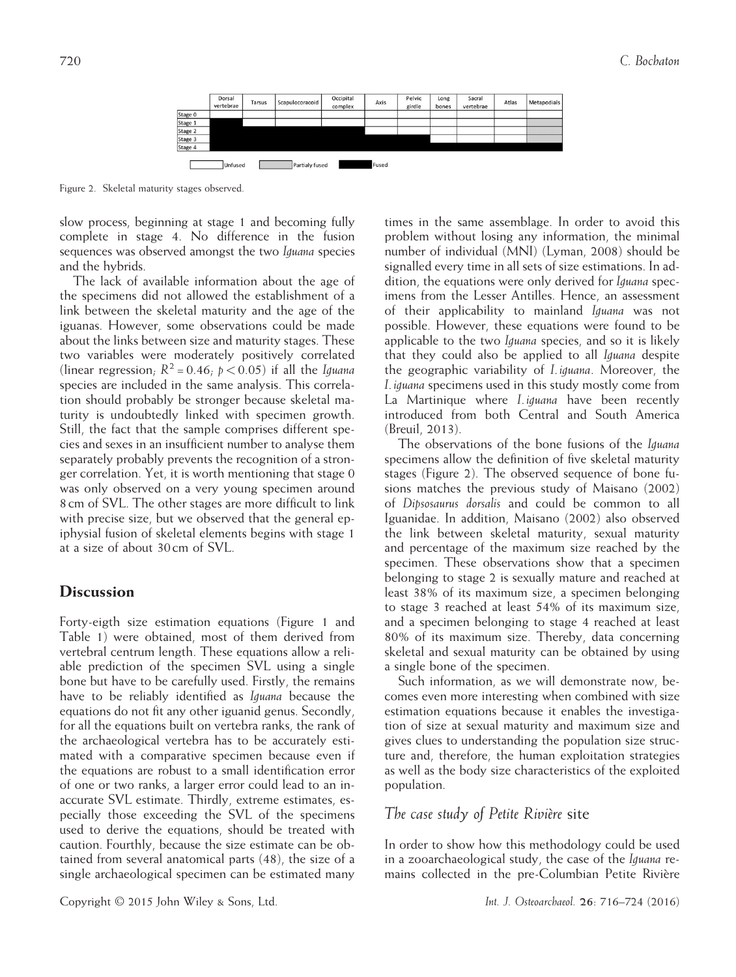|         | Dorsal<br>vertebrae | Tarsus | Scapulocoracoid | Occipital<br>complex | Axis | Pelvic<br>girdle | Long<br>bones | Sacral<br>vertebrae | Atlas | Metapodials |
|---------|---------------------|--------|-----------------|----------------------|------|------------------|---------------|---------------------|-------|-------------|
| Stage 0 |                     |        |                 |                      |      |                  |               |                     |       |             |
| Stage 1 |                     |        |                 |                      |      |                  |               |                     |       |             |
| Stage 2 |                     |        |                 |                      |      |                  |               |                     |       |             |
| Stage 3 |                     |        |                 |                      |      |                  |               |                     |       |             |
|         |                     |        |                 |                      |      |                  |               |                     |       |             |
| Stage 4 |                     |        |                 |                      |      |                  |               |                     |       |             |

Figure 2. Skeletal maturity stages observed.

slow process, beginning at stage 1 and becoming fully complete in stage 4. No difference in the fusion sequences was observed amongst the two Iguana species and the hybrids.

The lack of available information about the age of the specimens did not allowed the establishment of a link between the skeletal maturity and the age of the iguanas. However, some observations could be made about the links between size and maturity stages. These two variables were moderately positively correlated (linear regression;  $R^2 = 0.46$ ;  $p < 0.05$ ) if all the Iguana species are included in the same analysis. This correlation should probably be stronger because skeletal maturity is undoubtedly linked with specimen growth. Still, the fact that the sample comprises different species and sexes in an insufficient number to analyse them separately probably prevents the recognition of a stronger correlation. Yet, it is worth mentioning that stage 0 was only observed on a very young specimen around 8 cm of SVL. The other stages are more difficult to link with precise size, but we observed that the general epiphysial fusion of skeletal elements begins with stage 1 at a size of about 30 cm of SVL.

## **Discussion**

Forty-eigth size estimation equations (Figure 1 and Table 1) were obtained, most of them derived from vertebral centrum length. These equations allow a reliable prediction of the specimen SVL using a single bone but have to be carefully used. Firstly, the remains have to be reliably identified as Iguana because the equations do not fit any other iguanid genus. Secondly, for all the equations built on vertebra ranks, the rank of the archaeological vertebra has to be accurately estimated with a comparative specimen because even if the equations are robust to a small identification error of one or two ranks, a larger error could lead to an inaccurate SVL estimate. Thirdly, extreme estimates, especially those exceeding the SVL of the specimens used to derive the equations, should be treated with caution. Fourthly, because the size estimate can be obtained from several anatomical parts (48), the size of a single archaeological specimen can be estimated many

times in the same assemblage. In order to avoid this problem without losing any information, the minimal number of individual (MNI) (Lyman, 2008) should be signalled every time in all sets of size estimations. In addition, the equations were only derived for Iguana specimens from the Lesser Antilles. Hence, an assessment of their applicability to mainland Iguana was not possible. However, these equations were found to be applicable to the two Iguana species, and so it is likely that they could also be applied to all Iguana despite the geographic variability of I. iguana. Moreover, the I. iguana specimens used in this study mostly come from La Martinique where *I. iguana* have been recently introduced from both Central and South America (Breuil, 2013).

The observations of the bone fusions of the Iguana specimens allow the definition of five skeletal maturity stages (Figure 2). The observed sequence of bone fusions matches the previous study of Maisano (2002) of Dipsosaurus dorsalis and could be common to all Iguanidae. In addition, Maisano (2002) also observed the link between skeletal maturity, sexual maturity and percentage of the maximum size reached by the specimen. These observations show that a specimen belonging to stage 2 is sexually mature and reached at least 38% of its maximum size, a specimen belonging to stage 3 reached at least 54% of its maximum size, and a specimen belonging to stage 4 reached at least 80% of its maximum size. Thereby, data concerning skeletal and sexual maturity can be obtained by using a single bone of the specimen.

Such information, as we will demonstrate now, becomes even more interesting when combined with size estimation equations because it enables the investigation of size at sexual maturity and maximum size and gives clues to understanding the population size structure and, therefore, the human exploitation strategies as well as the body size characteristics of the exploited population.

#### The case study of Petite Rivière site

In order to show how this methodology could be used in a zooarchaeological study, the case of the Iguana remains collected in the pre-Columbian Petite Rivière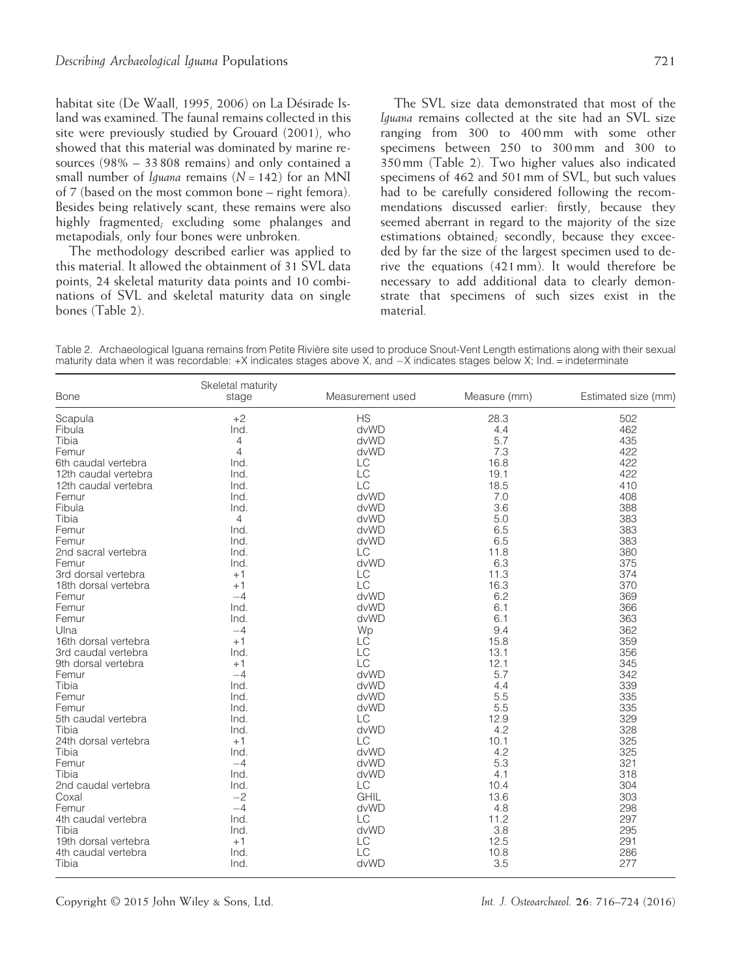habitat site (De Waall, 1995, 2006) on La Désirade Island was examined. The faunal remains collected in this site were previously studied by Grouard (2001), who showed that this material was dominated by marine resources (98% – 33 808 remains) and only contained a small number of *Iguana* remains  $(N = 142)$  for an MNI of 7 (based on the most common bone – right femora). Besides being relatively scant, these remains were also highly fragmented; excluding some phalanges and metapodials, only four bones were unbroken.

The methodology described earlier was applied to this material. It allowed the obtainment of 31 SVL data points, 24 skeletal maturity data points and 10 combinations of SVL and skeletal maturity data on single bones (Table 2).

The SVL size data demonstrated that most of the Iguana remains collected at the site had an SVL size ranging from 300 to 400 mm with some other specimens between 250 to 300 mm and 300 to 350 mm (Table 2). Two higher values also indicated specimens of 462 and 501 mm of SVL, but such values had to be carefully considered following the recommendations discussed earlier: firstly, because they seemed aberrant in regard to the majority of the size estimations obtained; secondly, because they exceeded by far the size of the largest specimen used to derive the equations (421 mm). It would therefore be necessary to add additional data to clearly demonstrate that specimens of such sizes exist in the material.

Table 2. Archaeological Iguana remains from Petite Rivière site used to produce Snout-Vent Length estimations along with their sexual maturity data when it was recordable: +X indicates stages above X, and  $-X$  indicates stages below X; Ind. = indeterminate

| <b>Bone</b>                  | Skeletal maturity<br>stage | Measurement used | Measure (mm) | Estimated size (mm) |
|------------------------------|----------------------------|------------------|--------------|---------------------|
| Scapula                      | $+2$                       | <b>HS</b>        | 28.3         | 502                 |
| Fibula                       | Ind.                       | dvWD             | 4.4          | 462                 |
| Tibia                        | $\overline{4}$             | dvWD             | 5.7          | 435                 |
| Femur                        | $\overline{4}$             | dvWD             | 7.3          | 422                 |
| 6th caudal vertebra          | Ind.                       | LC               | 16.8         | 422                 |
| 12th caudal vertebra         | Ind.                       | LC               | 19.1         | 422                 |
| 12th caudal vertebra         | Ind.                       | LC               | 18.5         | 410                 |
| Femur                        | Ind.                       | dvWD             | 7.0          | 408                 |
| Fibula                       | Ind.                       | dvWD             | 3.6          | 388                 |
| Tibia                        | $\overline{4}$             | dvWD             | 5.0          | 383                 |
| Femur                        | Ind.                       | dvWD             | 6.5          | 383                 |
| Femur                        | Ind.                       | dvWD             | 6.5          | 383                 |
| 2nd sacral vertebra          | Ind.                       | LC               | 11.8         | 380                 |
| Femur                        | Ind.                       | dvWD             | 6.3          | 375                 |
| 3rd dorsal vertebra          | $+1$                       | LC               | 11.3         | 374                 |
| 18th dorsal vertebra         | $+1$                       | LC               | 16.3         | 370                 |
| Femur                        | $-4$                       | dvWD             | 6.2          | 369                 |
| Femur                        | Ind.                       | dvWD             | 6.1          | 366                 |
| Femur                        | Ind.                       | dvWD             | 6.1          | 363                 |
| Ulna                         | $-4$                       | Wp               | 9.4          | 362                 |
| 16th dorsal vertebra         | $+1$                       | LĊ               | 15.8         | 359                 |
| 3rd caudal vertebra          | Ind.                       | LC               | 13.1         | 356                 |
| 9th dorsal vertebra          | $+1$                       | LC               | 12.1         | 345                 |
| Femur                        | $-4$                       | dvWD             | 5.7          | 342                 |
| Tibia                        | Ind.                       | dvWD             | 4.4          | 339                 |
| Femur                        | Ind.                       | dvWD             | 5.5          | 335                 |
| Femur                        | Ind.                       | dvWD             | 5.5          | 335                 |
| 5th caudal vertebra          | Ind.                       | LC               | 12.9         | 329                 |
| Tibia                        | Ind.                       | dvWD             | 4.2          | 328                 |
| 24th dorsal vertebra         | $+1$                       | LC               | 10.1         | 325                 |
| Tibia                        | Ind.                       | dvWD             | 4.2          | 325                 |
| Femur                        | $-4$                       | dvWD             | 5.3          | 321                 |
| Tibia                        | Ind.                       | dvWD             | 4.1          | 318                 |
| 2nd caudal vertebra          | Ind.                       | LC               | 10.4         | 304                 |
| Coxal                        | $-2$                       | <b>GHIL</b>      | 13.6         | 303                 |
| Femur                        | $-4$                       | dvWD             | 4.8          | 298                 |
|                              |                            |                  |              |                     |
| 4th caudal vertebra<br>Tibia | Ind.                       | LC<br>dvWD       | 11.2<br>3.8  | 297<br>295          |
|                              | Ind.                       |                  | 12.5         |                     |
| 19th dorsal vertebra         | $+1$                       | LC               |              | 291                 |
| 4th caudal vertebra          | Ind.                       | LC               | 10.8         | 286                 |
| Tibia                        | Ind.                       | dvWD             | 3.5          | 277                 |

Copyright © 2015 John Wiley & Sons, Ltd. Int. J. Osteoarchaeol. 26: 716–724 (2016)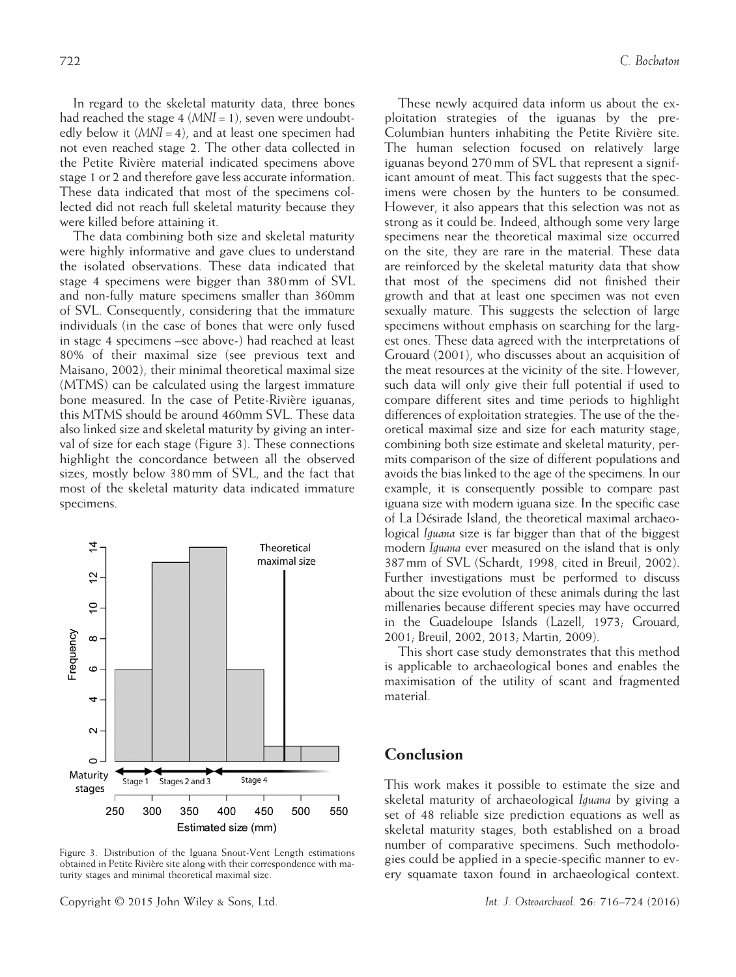In regard to the skeletal maturity data, three bones had reached the stage  $4 \, (MNI = 1)$ , seven were undoubtedly below it  $(MNI = 4)$ , and at least one specimen had not even reached stage 2. The other data collected in the Petite Rivière material indicated specimens above stage 1 or 2 and therefore gave less accurate information. These data indicated that most of the specimens collected did not reach full skeletal maturity because they were killed before attaining it.

The data combining both size and skeletal maturity were highly informative and gave clues to understand the isolated observations. These data indicated that stage 4 specimens were bigger than 380 mm of SVL and non-fully mature specimens smaller than 360mm of SVL. Consequently, considering that the immature individuals (in the case of bones that were only fused in stage 4 specimens –see above-) had reached at least 80% of their maximal size (see previous text and Maisano, 2002), their minimal theoretical maximal size (MTMS) can be calculated using the largest immature bone measured. In the case of Petite-Rivière iguanas, this MTMS should be around 460mm SVL. These data also linked size and skeletal maturity by giving an interval of size for each stage (Figure 3). These connections highlight the concordance between all the observed sizes, mostly below 380 mm of SVL, and the fact that most of the skeletal maturity data indicated immature specimens.



Figure 3. Distribution of the Iguana Snout-Vent Length estimations obtained in Petite Rivière site along with their correspondence with maturity stages and minimal theoretical maximal size.

Copyright © 2015 John Wiley & Sons, Ltd. Int. J. Osteoarchaeol. 26: 716–724 (2016)

These newly acquired data inform us about the exploitation strategies of the iguanas by the pre-Columbian hunters inhabiting the Petite Rivière site. The human selection focused on relatively large iguanas beyond 270 mm of SVL that represent a significant amount of meat. This fact suggests that the specimens were chosen by the hunters to be consumed. However, it also appears that this selection was not as strong as it could be. Indeed, although some very large specimens near the theoretical maximal size occurred on the site, they are rare in the material. These data are reinforced by the skeletal maturity data that show that most of the specimens did not finished their growth and that at least one specimen was not even sexually mature. This suggests the selection of large specimens without emphasis on searching for the largest ones. These data agreed with the interpretations of Grouard (2001), who discusses about an acquisition of the meat resources at the vicinity of the site. However, such data will only give their full potential if used to compare different sites and time periods to highlight differences of exploitation strategies. The use of the theoretical maximal size and size for each maturity stage, combining both size estimate and skeletal maturity, permits comparison of the size of different populations and avoids the bias linked to the age of the specimens. In our example, it is consequently possible to compare past iguana size with modern iguana size. In the specific case of La Désirade Island, the theoretical maximal archaeological Iguana size is far bigger than that of the biggest modern Iguana ever measured on the island that is only 387 mm of SVL (Schardt, 1998, cited in Breuil, 2002). Further investigations must be performed to discuss about the size evolution of these animals during the last millenaries because different species may have occurred in the Guadeloupe Islands (Lazell, 1973; Grouard, 2001; Breuil, 2002, 2013; Martin, 2009).

This short case study demonstrates that this method is applicable to archaeological bones and enables the maximisation of the utility of scant and fragmented material.

#### Conclusion

This work makes it possible to estimate the size and skeletal maturity of archaeological Iguana by giving a set of 48 reliable size prediction equations as well as skeletal maturity stages, both established on a broad number of comparative specimens. Such methodologies could be applied in a specie-specific manner to every squamate taxon found in archaeological context.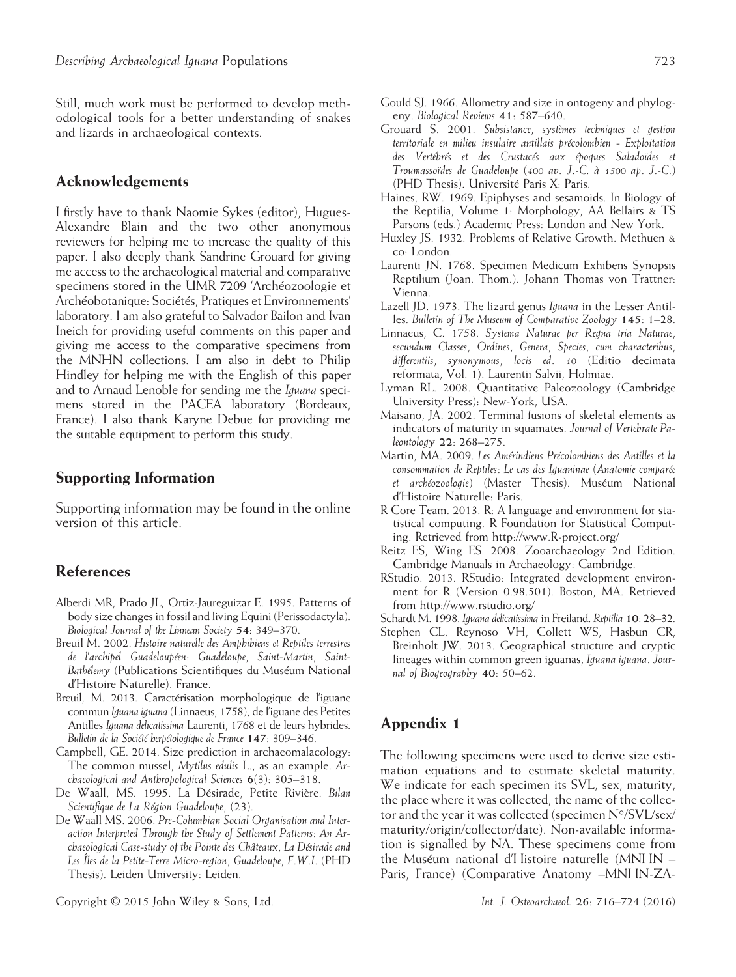Still, much work must be performed to develop methodological tools for a better understanding of snakes and lizards in archaeological contexts.

## Acknowledgements

I firstly have to thank Naomie Sykes (editor), Hugues-Alexandre Blain and the two other anonymous reviewers for helping me to increase the quality of this paper. I also deeply thank Sandrine Grouard for giving me access to the archaeological material and comparative specimens stored in the UMR 7209 'Archéozoologie et Archéobotanique: Sociétés, Pratiques et Environnements' laboratory. I am also grateful to Salvador Bailon and Ivan Ineich for providing useful comments on this paper and giving me access to the comparative specimens from the MNHN collections. I am also in debt to Philip Hindley for helping me with the English of this paper and to Arnaud Lenoble for sending me the Iguana specimens stored in the PACEA laboratory (Bordeaux, France). I also thank Karyne Debue for providing me the suitable equipment to perform this study.

#### Supporting Information

Supporting information may be found in the online version of this article.

# References

- Alberdi MR, Prado JL, Ortiz-Jaureguizar E. 1995. Patterns of body size changes in fossil and living Equini (Perissodactyla). Biological Journal of the Linnean Society 54: 349–370.
- Breuil M. 2002. Histoire naturelle des Amphibiens et Reptiles terrestres de l'archipel Guadeloupéen: Guadeloupe, Saint-Martin, Saint-Bathélemy (Publications Scientifiques du Muséum National d'Histoire Naturelle). France.
- Breuil, M. 2013. Caractérisation morphologique de l'iguane commun Iguana iguana (Linnaeus, 1758), de l'iguane des Petites Antilles Iguana delicatissima Laurenti, 1768 et de leurs hybrides. Bulletin de la Société herpétologique de France 147: 309–346.
- Campbell, GE. 2014. Size prediction in archaeomalacology: The common mussel, Mytilus edulis L., as an example. Archaeological and Anthropological Sciences 6(3): 305–318.
- De Waall, MS. 1995. La Désirade, Petite Rivière. Bilan Scientifique de La Région Guadeloupe, (23).
- De Waall MS. 2006. Pre-Columbian Social Organisation and Interaction Interpreted Through the Study of Settlement Patterns: An Archaeological Case-study of the Pointe des Châteaux, La Désirade and Les Îles de la Petite-Terre Micro-region, Guadeloupe, F.W.I. (PHD Thesis). Leiden University: Leiden.
- Gould SJ. 1966. Allometry and size in ontogeny and phylogeny. Biological Reviews 41: 587–640.
- Grouard S. 2001. Subsistance, systèmes techniques et gestion territoriale en milieu insulaire antillais précolombien - Exploitation des Vertébrés et des Crustacés aux époques Saladoïdes et Troumassoïdes de Guadeloupe (400 av. J.-C. à 1500 ap. J.-C.) (PHD Thesis). Université Paris X: Paris.
- Haines, RW. 1969. Epiphyses and sesamoids. In Biology of the Reptilia, Volume 1: Morphology, AA Bellairs & TS Parsons (eds.) Academic Press: London and New York.
- Huxley JS. 1932. Problems of Relative Growth. Methuen & co: London.
- Laurenti JN. 1768. Specimen Medicum Exhibens Synopsis Reptilium (Joan. Thom.). Johann Thomas von Trattner: Vienna.
- Lazell JD. 1973. The lizard genus Iguana in the Lesser Antilles. Bulletin of The Museum of Comparative Zoology 145: 1–28.
- Linnaeus, C. 1758. Systema Naturae per Regna tria Naturae, secundum Classes, Ordines, Genera, Species, cum characteribus, differentiis, synonymous, locis ed. 10 (Editio decimata reformata, Vol. 1). Laurentii Salvii, Holmiae.
- Lyman RL. 2008. Quantitative Paleozoology (Cambridge University Press): New-York, USA.
- Maisano, JA. 2002. Terminal fusions of skeletal elements as indicators of maturity in squamates. Journal of Vertebrate Paleontology 22: 268–275.
- Martin, MA. 2009. Les Amérindiens Précolombiens des Antilles et la consommation de Reptiles: Le cas des Iguaninae (Anatomie comparée et archéozoologie) (Master Thesis). Muséum National d'Histoire Naturelle: Paris.
- R Core Team. 2013. R: A language and environment for statistical computing. R Foundation for Statistical Computing. Retrieved from [http://www.R-project.org/](http://www.R-project.org)
- Reitz ES, Wing ES. 2008. Zooarchaeology 2nd Edition. Cambridge Manuals in Archaeology: Cambridge.
- RStudio. 2013. RStudio: Integrated development environment for R (Version 0.98.501). Boston, MA. Retrieved from<http://www.rstudio.org>/
- Schardt M. 1998. Iguana delicatissima in Freiland. Reptilia 10: 28–32.
- Stephen CL, Reynoso VH, Collett WS, Hasbun CR, Breinholt JW. 2013. Geographical structure and cryptic lineages within common green iguanas, Iguana iguana. Journal of Biogeography 40: 50–62.

# Appendix 1

The following specimens were used to derive size estimation equations and to estimate skeletal maturity. We indicate for each specimen its SVL, sex, maturity, the place where it was collected, the name of the collector and the year it was collected (specimen N°/SVL/sex/ maturity/origin/collector/date). Non-available information is signalled by NA. These specimens come from the Muséum national d'Histoire naturelle (MNHN – Paris, France) (Comparative Anatomy –MNHN-ZA-

Copyright © 2015 John Wiley & Sons, Ltd. Int. J. Osteoarchaeol. 26: 716–724 (2016)